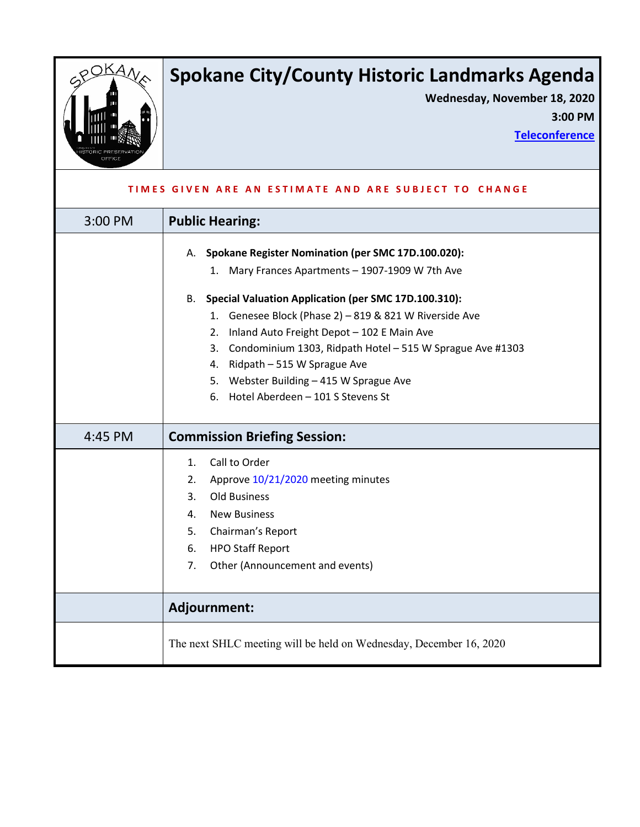

# **Spokane City/County Historic Landmarks Agenda**

**Wednesday, November 18, 2020 3:00 PM**

**[Teleconference](#page-1-0)**

| TIMES GIVEN ARE AN ESTIMATE AND ARE SUBJECT TO CHANGE |                                                                                                                                                                                                                                                                                                                                                                                                                                                                         |
|-------------------------------------------------------|-------------------------------------------------------------------------------------------------------------------------------------------------------------------------------------------------------------------------------------------------------------------------------------------------------------------------------------------------------------------------------------------------------------------------------------------------------------------------|
| 3:00 PM                                               | <b>Public Hearing:</b>                                                                                                                                                                                                                                                                                                                                                                                                                                                  |
|                                                       | A. Spokane Register Nomination (per SMC 17D.100.020):<br>1. Mary Frances Apartments - 1907-1909 W 7th Ave<br>B. Special Valuation Application (per SMC 17D.100.310):<br>1. Genesee Block (Phase 2) - 819 & 821 W Riverside Ave<br>Inland Auto Freight Depot - 102 E Main Ave<br>2.<br>3. Condominium 1303, Ridpath Hotel - 515 W Sprague Ave #1303<br>4. Ridpath - 515 W Sprague Ave<br>5. Webster Building - 415 W Sprague Ave<br>6. Hotel Aberdeen - 101 S Stevens St |
| 4:45 PM                                               | <b>Commission Briefing Session:</b>                                                                                                                                                                                                                                                                                                                                                                                                                                     |
|                                                       | Call to Order<br>1.<br>Approve 10/21/2020 meeting minutes<br>2.<br><b>Old Business</b><br>3.<br><b>New Business</b><br>4.<br>Chairman's Report<br>5.<br><b>HPO Staff Report</b><br>6.<br>Other (Announcement and events)<br>7.                                                                                                                                                                                                                                          |
|                                                       | Adjournment:                                                                                                                                                                                                                                                                                                                                                                                                                                                            |
|                                                       | The next SHLC meeting will be held on Wednesday, December 16, 2020                                                                                                                                                                                                                                                                                                                                                                                                      |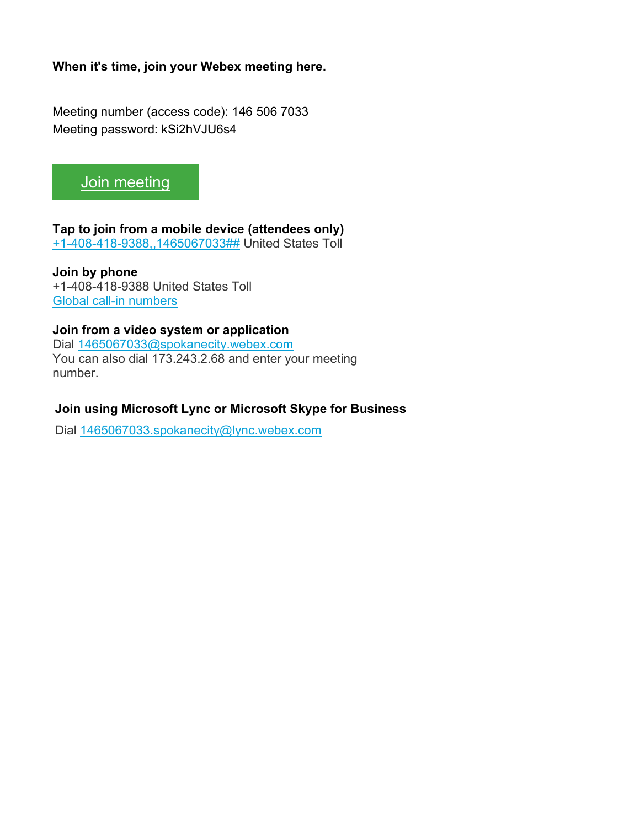<span id="page-1-0"></span>**When it's time, join your Webex meeting here.** 

Meeting number (access code): 146 506 7033 Meeting password: kSi2hVJU6s4



## **Tap to join from a mobile device (attendees only)**

[+1-408-418-9388,,1465067033##](tel:%2B1-408-418-9388,,*01*1465067033%23%23*01*) United States Toll

**Join by phone** +1-408-418-9388 United States Toll [Global call-in numbers](https://spokanecity.webex.com/spokanecity/globalcallin.php?MTID=m499c230aaac54bbe1a52cdb7b4450943)

## **Join from a video system or application**

Dial [1465067033@spokanecity.webex.com](sip:1465067033@spokanecity.webex.com) You can also dial 173.243.2.68 and enter your meeting number.

### **Join using Microsoft Lync or Microsoft Skype for Business**

Dial [1465067033.spokanecity@lync.webex.com](sip:1465067033.spokanecity@lync.webex.com)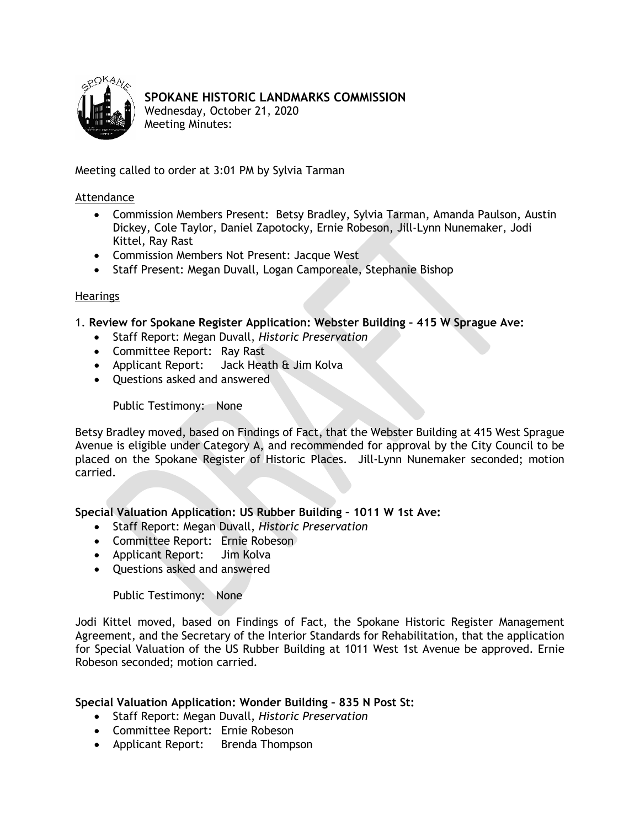<span id="page-2-0"></span>

## **SPOKANE HISTORIC LANDMARKS COMMISSION**

Wednesday, October 21, 2020 Meeting Minutes:

Meeting called to order at 3:01 PM by Sylvia Tarman

#### Attendance

- Commission Members Present: Betsy Bradley, Sylvia Tarman, Amanda Paulson, Austin Dickey, Cole Taylor, Daniel Zapotocky, Ernie Robeson, Jill-Lynn Nunemaker, Jodi Kittel, Ray Rast
- Commission Members Not Present: Jacque West
- Staff Present: Megan Duvall, Logan Camporeale, Stephanie Bishop

#### Hearings

1. **Review for Spokane Register Application: Webster Building – 415 W Sprague Ave:**

- Staff Report: Megan Duvall, *Historic Preservation*
- Committee Report: Ray Rast
- Applicant Report: Jack Heath & Jim Kolva
- Questions asked and answered

Public Testimony: None

Betsy Bradley moved, based on Findings of Fact, that the Webster Building at 415 West Sprague Avenue is eligible under Category A, and recommended for approval by the City Council to be placed on the Spokane Register of Historic Places. Jill-Lynn Nunemaker seconded; motion carried.

## **Special Valuation Application: US Rubber Building – 1011 W 1st Ave:**

- Staff Report: Megan Duvall, *Historic Preservation*
- Committee Report: Ernie Robeson
- Applicant Report: Jim Kolva
- Questions asked and answered

Public Testimony: None

Jodi Kittel moved, based on Findings of Fact, the Spokane Historic Register Management Agreement, and the Secretary of the Interior Standards for Rehabilitation, that the application for Special Valuation of the US Rubber Building at 1011 West 1st Avenue be approved. Ernie Robeson seconded; motion carried.

## **Special Valuation Application: Wonder Building – 835 N Post St:**

- Staff Report: Megan Duvall, *Historic Preservation*
- Committee Report: Ernie Robeson
- Applicant Report: Brenda Thompson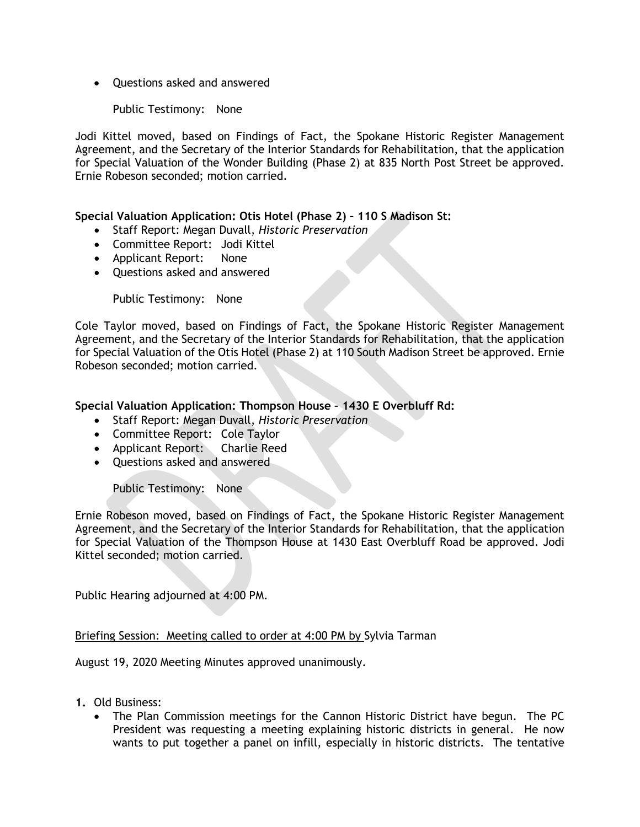• Questions asked and answered

#### Public Testimony: None

Jodi Kittel moved, based on Findings of Fact, the Spokane Historic Register Management Agreement, and the Secretary of the Interior Standards for Rehabilitation, that the application for Special Valuation of the Wonder Building (Phase 2) at 835 North Post Street be approved. Ernie Robeson seconded; motion carried.

#### **Special Valuation Application: Otis Hotel (Phase 2) – 110 S Madison St:**

- Staff Report: Megan Duvall, *Historic Preservation*
- Committee Report: Jodi Kittel
- Applicant Report: None
- Questions asked and answered

Public Testimony: None

Cole Taylor moved, based on Findings of Fact, the Spokane Historic Register Management Agreement, and the Secretary of the Interior Standards for Rehabilitation, that the application for Special Valuation of the Otis Hotel (Phase 2) at 110 South Madison Street be approved. Ernie Robeson seconded; motion carried.

#### **Special Valuation Application: Thompson House – 1430 E Overbluff Rd:**

- Staff Report: Megan Duvall, *Historic Preservation*
- Committee Report: Cole Taylor
- Applicant Report: Charlie Reed
- Questions asked and answered

Public Testimony: None

Ernie Robeson moved, based on Findings of Fact, the Spokane Historic Register Management Agreement, and the Secretary of the Interior Standards for Rehabilitation, that the application for Special Valuation of the Thompson House at 1430 East Overbluff Road be approved. Jodi Kittel seconded; motion carried.

Public Hearing adjourned at 4:00 PM.

#### Briefing Session: Meeting called to order at 4:00 PM by Sylvia Tarman

August 19, 2020 Meeting Minutes approved unanimously.

- **1.** Old Business:
	- The Plan Commission meetings for the Cannon Historic District have begun. The PC President was requesting a meeting explaining historic districts in general. He now wants to put together a panel on infill, especially in historic districts. The tentative